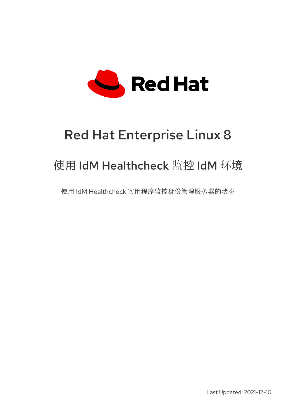

# Red Hat Enterprise Linux 8

# 使用 IdM Healthcheck 监控 IdM 环境

使用 IdM Healthcheck 实用程序监控身份管理服务器的状态

Last Updated: 2021-12-10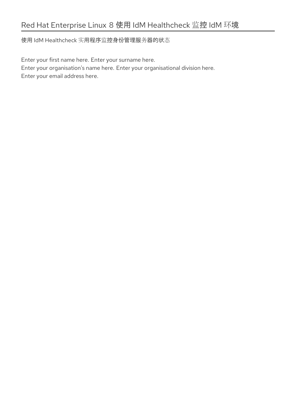使用 IdM Healthcheck 实用程序监控身份管理服务器的状态

Enter your first name here. Enter your surname here. Enter your organisation's name here. Enter your organisational division here. Enter your email address here.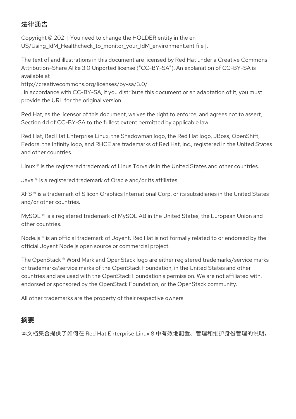# 法律通告

Copyright © 2021 | You need to change the HOLDER entity in the en-US/Using\_IdM\_Healthcheck\_to\_monitor\_your\_IdM\_environment.ent file |.

The text of and illustrations in this document are licensed by Red Hat under a Creative Commons Attribution–Share Alike 3.0 Unported license ("CC-BY-SA"). An explanation of CC-BY-SA is available at

http://creativecommons.org/licenses/by-sa/3.0/

. In accordance with CC-BY-SA, if you distribute this document or an adaptation of it, you must provide the URL for the original version.

Red Hat, as the licensor of this document, waives the right to enforce, and agrees not to assert, Section 4d of CC-BY-SA to the fullest extent permitted by applicable law.

Red Hat, Red Hat Enterprise Linux, the Shadowman logo, the Red Hat logo, JBoss, OpenShift, Fedora, the Infinity logo, and RHCE are trademarks of Red Hat, Inc., registered in the United States and other countries.

Linux ® is the registered trademark of Linus Torvalds in the United States and other countries.

Java ® is a registered trademark of Oracle and/or its affiliates.

XFS ® is a trademark of Silicon Graphics International Corp. or its subsidiaries in the United States and/or other countries.

MySQL<sup>®</sup> is a registered trademark of MySQL AB in the United States, the European Union and other countries.

Node.js ® is an official trademark of Joyent. Red Hat is not formally related to or endorsed by the official Joyent Node.js open source or commercial project.

The OpenStack ® Word Mark and OpenStack logo are either registered trademarks/service marks or trademarks/service marks of the OpenStack Foundation, in the United States and other countries and are used with the OpenStack Foundation's permission. We are not affiliated with, endorsed or sponsored by the OpenStack Foundation, or the OpenStack community.

All other trademarks are the property of their respective owners.

### 摘要

本文档集合提供了如何在 Red Hat Enterprise Linux 8 中有效地配置、管理和维护身份管理的说明。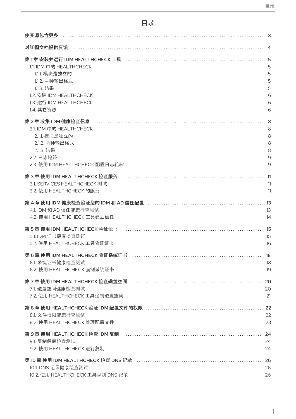# 目录

| 1.1. IDM 中的 HEALTHCHECK<br>1.1.1. 模块是独立的<br>1.1.2. 两种输出格式<br>1.1.3. 结果<br>1.2. 安装 IDM HEALTHCHECK<br>1.3. 运行 IDM HEALTHCHECK<br>1.4. 其它资源  | 5<br>5<br>5<br>5<br>6<br>6<br>6 |
|--------------------------------------------------------------------------------------------------------------------------------------------|---------------------------------|
| 第2章 收集 IDM 健康检查信息<br>2.1. IDM 中的 HEALTHCHECK<br>2.1.1. 模块是独立的<br>2.1.2. 两种输出格式<br>2.1.3. 结果<br>2.2. 日志轮转<br>2.3. 使用 IDM HEALTHCHECK 配置日志轮转 | 8<br>8<br>8<br>8<br>8<br>9<br>9 |
| 第3章 使用 IDM HEALTHCHECK 检查服务<br>3.1. SERVICES HEALTHCHECK 测试<br>3.2. 使用 HEALTHCHECK 的服务                                                     | 11<br>11<br>11                  |
| 4.1. IDM 和 AD 信任健康检查测试<br>4.2. 使用 HEALTHCHECK 工具建立信任                                                                                       | 13<br>13<br>14                  |
| 第5章 使用 IDM HEALTHCHECK 验证证书<br>5.1. IDM 证书健康检查测试<br>5.2. 使用 HEALTHCHECK 工具验证证书                                                             | 15<br>15<br>16                  |
| 第6章 使用 IDM HEALTHCHECK 验证系统证书<br>6.1. 系统证书健康检查测试<br>6.2. 使用 HEALTHCHECK 强制系统证书                                                             | 18<br>18<br>19                  |
| 7.1. 磁盘空间健康检查测试<br>7.2. 使用 HEALTHCHECK 工具强制磁盘空间                                                                                            | 20<br>20<br>21                  |
| 8.1. 文件权限健康检查测试<br>8.2. 使用 HEALTHCHECK 处理配置文件                                                                                              | 22<br>22<br>23                  |
| 第 9 章 使用 HEALTHCHECK 检査 IDM 复制 ………………………………………………………………<br>9.1. 复制健康检查测试<br>9.2. 使用 HEALTHCHECK 进行复制                                       | 24<br>24<br>24                  |
| 第10章使用  IDM HEALTHCHECK  检查  DNS  记录 ………………………………………………………<br>10.1. DNS 记录健康检查测试<br>10.2. 使用 HEALTHCHECK 工具识别 DNS 记录                       | 26<br>26<br>26                  |

 $\overline{1}$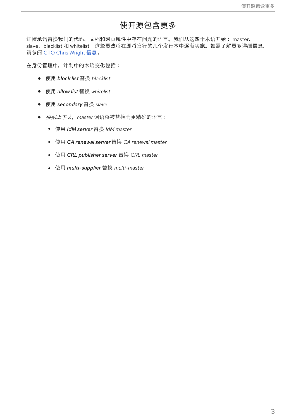# 使开源包含更多

<span id="page-6-0"></span>红帽承诺替换我们的代码、文档和网页属性中存在问题的语言。我们从这四个术语开始: master、 slave、blacklist 和 whitelist。这些更改将在即将发行的几个发行本中逐渐实施。如需了解更多详细信息, 请参阅 CTO Chris [Wright](https://www.redhat.com/en/blog/making-open-source-more-inclusive-eradicating-problematic-language) 信息。

在身份管理中,计划中的术语变化包括:

- 使用 *block list* 替换 *blacklist*
- 使用 allow list 替换 whitelist
- 使用 *secondary* 替换 *slave*
- 根据上下文,*master* 词语将被替换为更精确的语言:
	- 使用 *IdM server* 替换 *IdM master*
	- 使用 *CA renewal server*替换 *CA renewal master*
	- 使用 *CRL publisher server* 替换 *CRL master*
	- 使用 *multi-supplier* 替换 *multi-master*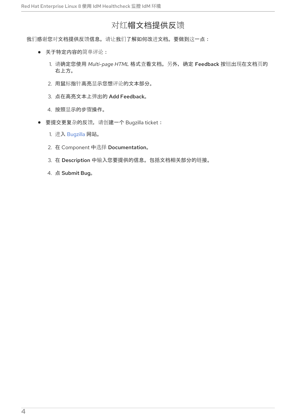# 对红帽文档提供反馈

<span id="page-7-0"></span>我们感谢您对文档提供反馈信息。请让我们了解如何改进文档。要做到这一点:

- 关于特定内容的简单评论:
	- 1. 请确定您使用 *Multi-page HTML* 格式查看文档。另外,确定 Feedback 按钮出现在文档页的 右上方。
	- 2. 用鼠标指针高亮显示您想评论的文本部分。
	- 3. 点在高亮文本上弹出的 Add Feedback。
	- 4. 按照显示的步骤操作。
- 要提交更复杂的反馈, 请创建一个 Bugzilla ticket:
	- 1. 进入 [Bugzilla](https://bugzilla.redhat.com/enter_bug.cgi?product=Red Hat Enterprise Linux 8) 网站。
	- 2. 在 Component 中选择 Documentation。
	- 3. 在 Description 中输入您要提供的信息。包括文档相关部分的链接。
	- 4. 点 Submit Bug。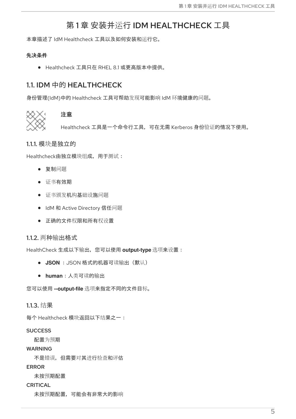# 第 1 章 安装并运行 IDM HEALTHCHECK 工具

<span id="page-8-0"></span>本章描述了 IdM Healthcheck 工具以及如何安装和运行它。

#### 先决条件

● Healthcheck 工具只在 RHEL 8.1 或更高版本中提供。

### <span id="page-8-1"></span>1.1. IDM 中的 HEALTHCHECK

身份管理(IdM)中的 Healthcheck 工具可帮助发现可能影响 IdM 环境健康的问题。



#### 注意

Healthcheck 工具是一个命令行工具,可在无需 Kerberos 身份验证的情况下使用。

#### <span id="page-8-2"></span>1.1.1. 模块是独立的

Healthcheck由独立模块组成,用于测试:

- 复制问题
- 证书有效期
- 证书颁发机构基础设施问题
- IdM 和 Active Directory 信任问题
- 正确的文件权限和所有权设置

#### <span id="page-8-3"></span>1.1.2. 两种输出格式

HealthCheck 生成以下输出,您可以使用 **output-type** 选项来设置:

- JSON : JSON 格式的机器可读输出 (默认)
- **human**:人类可读的输出

您可以使用 **--output-file** 选项来指定不同的文件目标。

#### <span id="page-8-4"></span>1.1.3. 结果

每个 Healthcheck 模块返回以下结果之一:

#### **SUCCESS**

配置为预期

#### WARNING

不是错误,但需要对其进行检查和评估

#### ERROR

未按预期配置

#### CRITICAL

未按预期配置,可能会有非常大的影响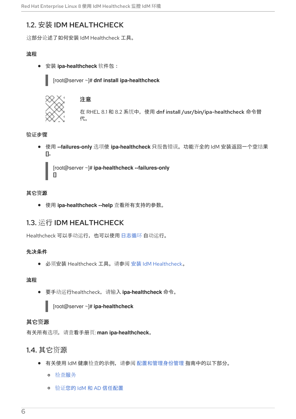# <span id="page-9-3"></span><span id="page-9-0"></span>1.2. 安装 IDM HEALTHCHECK

这部分论述了如何安装 IdM Healthcheck 工具。

## 流程

● 安装 ipa-healthcheck 软件包:





### 注意

在 RHEL 8.1 和 8.2 系统中,使用 dnf install /usr/bin/ipa-healthcheck 命令替 代。

#### 验证步骤

使用 **--failures-only** 选项使 **ipa-healthcheck** 只报告错误。功能齐全的 IdM 安装返回一个空结果 **[]**。



### 其它资源

使用 **ipa-healthcheck --help** 查看所有支持的参数。

# <span id="page-9-1"></span>1.3. 运行 IDM HEALTHCHECK

Healthcheck 可以手动运行, 也可以使用 [日志循](https://access.redhat.com/documentation/en-us/red_hat_enterprise_linux/8/html/configuring_and_managing_identity_management/collecting-idm-healthcheck-information_configuring-and-managing-idm#log-rotation_collecting-idm-healthcheck-information)环 自动运行。

#### 先决条件

● 必须安装 [Healthcheck](#page-9-3) 工具。请参阅 安装 IdM Healthcheck。

#### 流程

要手动运行healthcheck,请输入 **ipa-healthcheck** 命令。  $\bullet$ 

[root@server ~]# **ipa-healthcheck**

#### 其它资源

有关所有选项,请查看手册页: **man ipa-healthcheck**。

### <span id="page-9-2"></span>1.4. 其它资源

- 有关使用 IdM 健康检查的示例,请参阅 [配置和管理身份管理](https://access.redhat.com/documentation/en-us/red_hat_enterprise_linux/8/html/configuring_and_managing_identity_management/index) 指南中的以下部分。
	- [检查](https://access.redhat.com/documentation/en-us/red_hat_enterprise_linux/8/html/configuring_and_managing_identity_management/checking-services-using-idm-healthcheck_configuring-and-managing-idm)服务
	- o 验证您的 IdM 和 AD [信任配置](https://access.redhat.com/documentation/en-us/red_hat_enterprise_linux/8/html/configuring_and_managing_identity_management/verifying-your-idm-and-ad-trust-configuration-using-idm-healthcheck_configuring-and-managing-idm)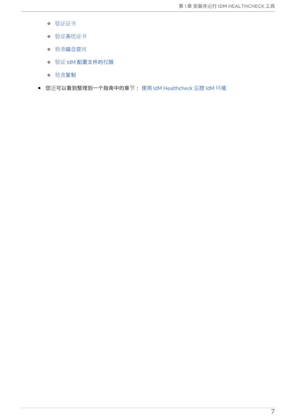- [验证证书](https://access.redhat.com/documentation/en-us/red_hat_enterprise_linux/8/html/configuring_and_managing_identity_management/verifying-certificates-using-idm-healthcheck_configuring-and-managing-idm)
- 验证系[统证书](https://access.redhat.com/documentation/en-us/red_hat_enterprise_linux/8/html/configuring_and_managing_identity_management/verifying-system-certificates-using-idm-healthcheck_configuring-and-managing-idm)
- [检查](https://access.redhat.com/documentation/en-us/red_hat_enterprise_linux/8/html/configuring_and_managing_identity_management/checking-disk-space-using-idm-healthcheck_configuring-and-managing-idm)磁盘空间
- 验证 IdM [配置文件的](https://access.redhat.com/documentation/en-us/red_hat_enterprise_linux/8/html/configuring_and_managing_identity_management/verifying-permissions-of-idm-configuration-files-using-healthcheck_configuring-and-managing-idm)权限
- 检查[复制](https://access.redhat.com/documentation/en-us/red_hat_enterprise_linux/8/html/configuring_and_managing_identity_management/checking-idm-replication-using-healthcheck_configuring-and-managing-idm)
- 您还可以看到整理到一个指南中的章节: 使用 IdM [Healthcheck](https://update.me) 监控 IdM 环境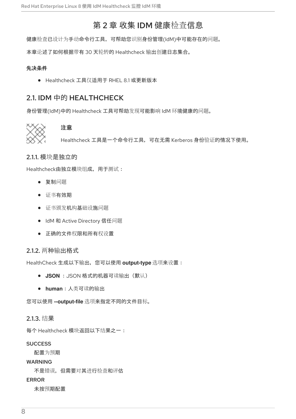# 第 2 章 收集 IDM 健康检查信息

<span id="page-11-0"></span>健康检查已设计为手动命令行工具,可帮助您识别身份管理(IdM)中可能存在的问题。

本章论述了如何根据带有 30 天轮转的 Healthcheck 输出创建日志集合。

#### 先决条件

● Healthcheck 工具仅适用于 RHEL 8.1 或更新版本

# <span id="page-11-1"></span>2.1. IDM 中的 HEALTHCHECK

身份管理(IdM)中的 Healthcheck 工具可帮助发现可能影响 IdM 环境健康的问题。



#### 注意

Healthcheck 工具是一个命令行工具,可在无需 Kerberos 身份验证的情况下使用。

#### <span id="page-11-2"></span>2.1.1. 模块是独立的

Healthcheck由独立模块组成,用于测试:

- 复制问题
- 证书有效期
- 证书颁发机构基础设施问题
- IdM 和 Active Directory 信任问题
- 正确的文件权限和所有权设置

#### <span id="page-11-3"></span>2.1.2. 两种输出格式

HealthCheck 生成以下输出,您可以使用 **output-type** 选项来设置:

- **JSON** : JSON 格式的机器可读输出(默认)
- **human**:人类可读的输出

您可以使用 **--output-file** 选项来指定不同的文件目标。

#### <span id="page-11-4"></span>2.1.3. 结果

每个 Healthcheck 模块返回以下结果之一:

#### **SUCCESS**

配置为预期

#### WARNING

不是错误,但需要对其进行检查和评估

#### ERROR

未按预期配置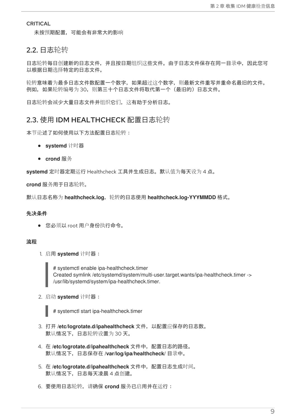**CRITICAL** 

未按预期配置,可能会有非常大的影响

#### <span id="page-12-0"></span>2.2. 日志轮转

日志轮转每日创建新的日志文件,并且按日期组织这些文件。由于日志文件保存在同一目录中,因此您可 以根据日期选择特定的日志文件。

轮转意味着为最多日志文件数配置一个数字,如果超过这个数字,则最新文件重写并重命名最旧的文件。 例如,如果轮转编号为 30,则第三十个日志文件将取代第一个(最旧的)日志文件。

日志轮转会减少大量日志文件并组织它们,这有助于分析日志。

#### <span id="page-12-1"></span>2.3. 使用 IDM HEALTHCHECK 配置日志轮转

本节论述了如何使用以下方法配置日志轮转:

- **systemd** 计时器
- **crond** 服务

**systemd** 定时器定期运行 Healthcheck 工具并生成日志。默认值为每天设为 4 点。

**crond** 服务用于日志轮转。

默认日志名称为 **healthcheck.log**,轮转的日志使用 **healthcheck.log-YYYMMDD** 格式。

#### 先决条件

您必须以 root 用户身份执行命令。

#### 流程

1. 启用 **systemd** 计时器:

# systemctl enable ipa-healthcheck.timer Created symlink /etc/systemd/system/multi-user.target.wants/ipa-healthcheck.timer -> /usr/lib/systemd/system/ipa-healthcheck.timer.

2. 启动 **systemd** 计时器:

# systemctl start ipa-healthcheck.timer

- 3. 打开/etc/logrotate.d/ipahealthcheck 文件, 以配置应保存的日志数。 默认情况下,日志轮转设置为 30 天。
- 4. 在 **/etc/logrotate.d/ipahealthcheck** 文件中,配置日志的路径。 默认情况下,日志保存在 **/var/log/ipa/healthcheck/** 目录中。
- 5. 在 /etc/logrotate.d/ipahealthcheck 文件中, 配置日志生成时间。 默认情况下,日志每天凌晨 4 点创建。
- 6. 要使用日志轮转,请确保 **crond** 服务已启用并在运行: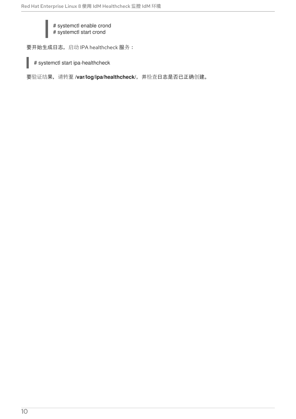# systemctl enable crond # systemctl start crond

要开始生成日志,启动 IPA healthcheck 服务:

# systemctl start ipa-healthcheck

要验证结果,请转至 **/var/log/ipa/healthcheck/**,并检查日志是否已正确创建。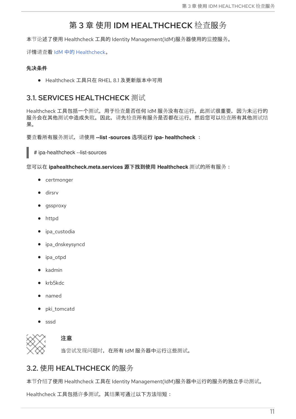# 第 3 章 使用 IDM HEALTHCHECK 检查服务

<span id="page-14-0"></span>本节论述了使用 Healthcheck 工具的 Identity Management(IdM)服务器使用的监控服务。

详情请查看 IdM 中的 [Healthcheck](https://access.redhat.com/documentation/en-us/red_hat_enterprise_linux/8/html-single/configuring_and_managing_identity_management/index#healthcheck-in-idm_collecting-idm-healthcheck-information)。

#### 先决条件

● Healthcheck 工具只在 RHEL 8.1 及更新版本中可用

### <span id="page-14-1"></span>3.1. SERVICES HEALTHCHECK 测试

Healthcheck 工具包括一个测试, 用于检查是否任何 IdM 服务没有在运行。此测试很重要, 因为未运行的 服务会在其他测试中造成失败。因此,请先检查所有服务是否都在运行。然后您可以检查所有其他测试结 果。

要查看所有服务测试,请使用 **--list -sources** 选项运行 **ipa- healthcheck** :

# ipa-healthcheck --list-sources

您可以在 **ipahealthcheck.meta.services** 源下找到使用 **Healthcheck** 测试的所有服务:

- certmonger
- dirsrv
- gssproxy
- httpd
- ipa\_custodia
- ipa\_dnskeysyncd
- ipa\_otpd
- kadmin
- krb5kdc
- named
- pki\_tomcatd
- sssd



#### 注意

当尝试发现问题时,在所有 IdM 服务器中运行这些测试。

## <span id="page-14-2"></span>3.2. 使用 HEALTHCHECK 的服务

本节介绍了使用 Healthcheck 工具在 Identity Management(IdM)服务器中运行的服务的独立手动测试。

Healthcheck 工具包括许多测试, 其结果可通过以下方法缩短: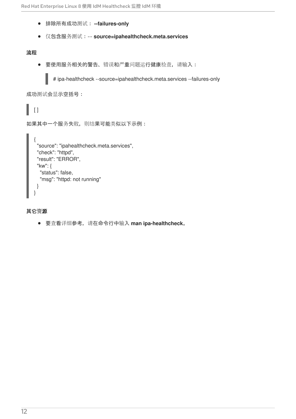- 排除所有成功测试: **--failures-only**
- 仅包含服务测试:-- **source=ipahealthcheck.meta.services**

#### 流程

要使用服务相关的警告、错误和严重问题运行健康检查,请输入:  $\bullet$ 

# ipa-healthcheck --source=ipahealthcheck.meta.services --failures-only

成功测试会显示空括号:

ı  $\lceil$   $\rceil$ 

```
如果其中一个服务失败, 则结果可能类似以下示例:
```

```
{
 "source": "ipahealthcheck.meta.services",
 "check": "httpd",
 "result": "ERROR",
 "kw": {
  "status": false,
  "msg": "httpd: not running"
 }
}
```
#### 其它资源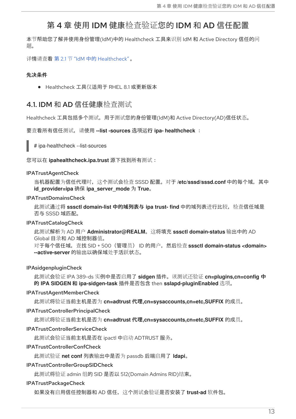# 第 4 章 使用 IDM 健康检查验证您的 IDM 和 AD 信任配置

<span id="page-16-0"></span>本节帮助您了解并使用身份管理(IdM)中的 Healthcheck 工具来识别 IdM 和 Active Directory 信任的问 题。

详情请查看 第 2.1 节 "IdM 中的 [Healthcheck"](#page-11-1) 。

#### 先决条件

● Healthcheck 工具仅适用于 RHEL 8.1 或更新版本

### <span id="page-16-1"></span>4.1. IDM 和 AD 信任健康检查测试

Healthcheck 工具包括多个测试,用于测试您的身份管理(IdM)和 Active Directory(AD)信任状态。

要查看所有信任测试,请使用 **--list -sources** 选项运行 **ipa- healthcheck** :

# ipa-healthcheck --list-sources

您可以在 **ipahealthcheck.ipa.trust** 源下找到所有测试:

#### IPATrustAgentCheck

当机器配置为信任代理时,这个测试会检查 SSSD 配置。对于 **/etc/sssd/sssd.conf** 中的每个域,其中 **id\_provider=ipa** 确保 **ipa\_server\_mode** 为 **True**。

#### IPATrustDomainsCheck

此测试通过将 **sssctl domain-list** 中的域列表与 **ipa trust- find** 中的域列表进行比较,检查信任域是 否与 SSSD 域匹配。

#### IPATrustCatalogCheck

此测试解析为 AD 用户 **Administrator@REALM**。这将填充 **sssctl domain-status** 输出中的 AD Global 目录和 AD 域控制器值。

对于每个信任域,查找 SID + 500(管理员) ID 的用户,然后检查 **sssctl domain-status <domain> --active-server** 的输出以确保域处于活跃状态。

#### IPAsidgenpluginCheck

此测试会验证 IPA 389-ds 实例中是否启用了 **sidgen** 插件。该测试还验证 **cn=plugins,cn=config** 中 的 **IPA SIDGEN** 和 **ipa-sidgen-task** 插件是否包含 then **sslapd-pluginEnabled** 选项。

#### IPATrustAgentMemberCheck

此测试将验证当前主机是否为 **cn=adtrust** 代理**,cn=sysaccounts,cn=etc,SUFFIX** 的成员。

#### IPATrustControllerPrincipalCheck

此测试将验证当前主机是否为 **cn=adtrust** 代理**,cn=sysaccounts,cn=etc,SUFFIX** 的成员。

#### IPATrustControllerServiceCheck

此测试会验证当前主机是否在 ipactl 中启动 ADTRUST 服务。

#### IPATrustControllerConfCheck

此测试验证 **net conf** 列表输出中是否为 passdb 后端启用了 **ldapi**。

#### IPATrustControllerGroupSIDCheck

此测试将验证 admin 组的 SID 是否以 512(Domain Admins RID)结束。

#### IPATrustPackageCheck

如果没有启用信任控制器和 AD 信任,这个测试会验证是否安装了 trust-ad 软件包。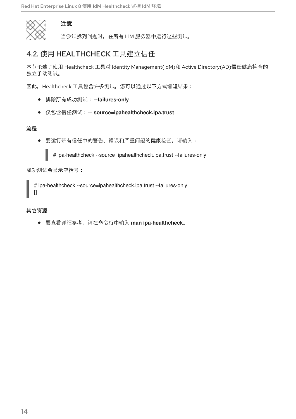

### 注意

当尝试找到问题时,在所有 IdM 服务器中运行这些测试。

# <span id="page-17-0"></span>4.2. 使用 HEALTHCHECK 工具建立信任

本节论述了使用 Healthcheck 工具对 Identity Management(IdM)和 Active Directory(AD)信任健康检查的 独立手动测试。

因此, Healthcheck 工具包含许多测试, 您可以通过以下方式缩短结果:

- 排除所有成功测试: **--failures-only**
- 仅包含信任测试:-- **source=ipahealthcheck.ipa.trust**

#### 流程

要运行带有信任中的警告、错误和严重问题的健康检查,请输入:  $\bullet$ 

# ipa-healthcheck --source=ipahealthcheck.ipa.trust --failures-only

#### 成功测试会显示空括号:

# ipa-healthcheck --source=ipahealthcheck.ipa.trust --failures-only []

#### 其它资源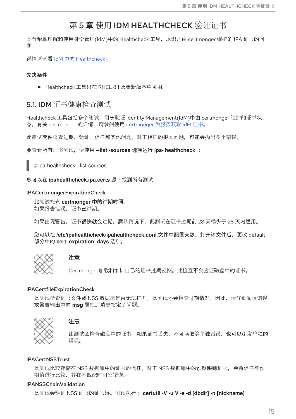# 第 5 章 使用 IDM HEALTHCHECK 验证证书

<span id="page-18-0"></span>本节帮助理解和使用身份管理(IdM)中的 Healthcheck 工具, 以识别由 certmonger 维护的 IPA 证书的问 题。

详情请查看 IdM 中的 [Healthcheck](https://access.redhat.com/documentation/en-us/red_hat_enterprise_linux/8/html-single/configuring_and_managing_identity_management/index#healthcheck-in-idm_collecting-idm-healthcheck-information)。

#### 先决条件

● Healthcheck 工具只在 RHEL 8.1 及更新版本中可用。

#### <span id="page-18-1"></span>5.1. IDM 证书健康检查测试

Healthcheck 工具包括多个测试,用于验证 Identity Management(IdM)中由 certmonger 维护的证书状 态。有关 [certmonger](https://access.redhat.com/documentation/en-us/red_hat_enterprise_linux/8/html/configuring_and_managing_identity_management/using-certmonger_configuring-and-managing-idm) 的详情,请参阅使用 certmonger 为服务获取 IdM 证书。

此测试套件检查过期、验证、信任和其他问题。对于相同的根本问题,可能会抛出多个错误。

要查看所有证书测试,请使用 **--list -sources** 选项运行 **ipa- healthcheck** :

# ipa-healthcheck --list-sources

您可以在 **ipahealthcheck.ipa.certs** 源下找到所有测试:

#### IPACertmongerExpirationCheck

此测试检查 **certmonger** 中的过期时间。 如果报告错误,证书已过期。

如果出现警告,证书很快就会过期。默认情况下,此测试在证书过期前 28 天或少于 28 天内适用。

您可以在 **/etc/ipahealthcheck/ipahealthcheck.conf** 文件中配置天数。打开该文件后,更改 default 部分中的 **cert\_expiration\_days** 选项。



#### 注意

Certmonger 加载和维护自己的证书过期视图。此检查不会验证磁盘中的证书。

#### IPACertfileExpirationCheck

此测试检查证书文件或 NSS 数据库是否无法打开。此测试还会检查过期情况。因此,请仔细阅读错误 或警告输出中的 **msg** 属性。消息指定了问题。



#### 注意

此测试会检查磁盘中的证书。如果证书丢失、不可读取等单独错误,也可以引发单独的 错误。

#### IPACertNSSTrust

此测试比较存储在 NSS 数据库中的证书的信任。对于 NSS 数据库中的预期跟踪证书,会将信任与预 期值进行比较,并在不匹配时引发错误。

#### IPANSSChainValidation

此测试会验证 NSS 证书的证书链。测试执行: **certutil -V -u V -e -d [dbdir] -n [nickname]**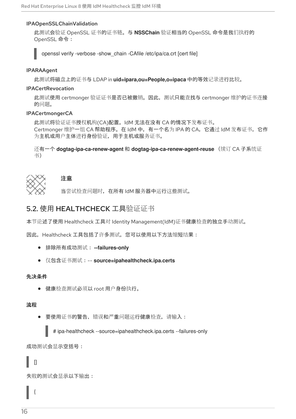#### IPAOpenSSLChainValidation

此测试会验证 OpenSSL 证书的证书链。与 **NSSChain** 验证相当的 OpenSSL 命令是我们执行的 OpenSSL 命令:

openssl verify -verbose -show\_chain -CAfile /etc/ipa/ca.crt [cert file]

#### IPARAAgent

此测试将磁盘上的证书与 LDAP in **uid=ipara,ou=People,o=ipaca** 中的等效记录进行比较。

#### **IPACertRevocation**

此测试使用 certmonger 验证证书是否已被撤销。因此, 测试只能查找与 certmonger 维护的证书连接 的问题。

#### IPACertmongerCA

此测试将验证证书授权机构(CA)配置。IdM 无法在没有 CA 的情况下发布证书。 Certmonger 维护一组 CA 帮助程序。在 IdM 中,有一个名为 IPA 的 CA,它通过 IdM 发布证书,它作 为主机或用户主体进行身份验证,用于主机或服务证书。

还有一个 **dogtag-ipa-ca-renew-agent** 和 **dogtag-ipa-ca-renew-agent-reuse** (续订 CA 子系统证 书)



#### 注意

当尝试检查问题时,在所有 IdM 服务器中运行这些测试。

### <span id="page-19-0"></span>5.2. 使用 HEALTHCHECK 工具验证证书

本节论述了使用 Healthcheck 工具对 Identity Management(IdM)证书健康检查的独立手动测试。

因此, Healthcheck 工具包括了许多测试, 您可以使用以下方法缩短结果:

- 排除所有成功测试: **--failures-only**
- 仅包含证书测试:-- **source=ipahealthcheck.ipa.certs**

#### 先决条件

健康检查测试必须以 root 用户身份执行。

#### 流程

要使用证书的警告、错误和严重问题运行健康检查,请输入:  $\bullet$ 

# ipa-healthcheck --source=ipahealthcheck.ipa.certs --failures-only

成功测试会显示空括号:

# $[$

{

失败的测试会显示以下输出: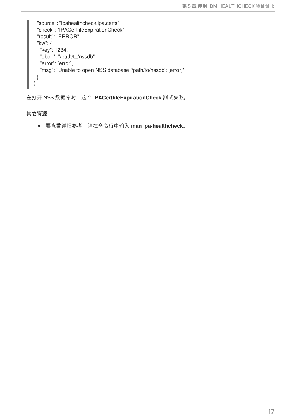```
"source": "ipahealthcheck.ipa.certs",
 "check": "IPACertfileExpirationCheck",
 "result": "ERROR",
 "kw": {
  "key": 1234,
  "dbdir": "/path/to/nssdb",
  "error": [error],
  "msg": "Unable to open NSS database '/path/to/nssdb': [error]"
 }
}
```
在打开 NSS 数据库时,这个 **IPACertfileExpirationCheck** 测试失败。

#### 其它资源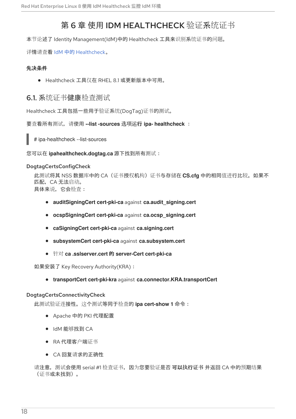# 第 6 章 使用 IDM HEALTHCHECK 验证系统证书

<span id="page-21-0"></span>本节论述了 Identity Management(IdM)中的 Healthcheck 工具来识别系统证书的问题。

详情请查看 IdM 中的 [Healthcheck](https://access.redhat.com/documentation/en-us/red_hat_enterprise_linux/8/html-single/configuring_and_managing_identity_management#healthcheck-in-idm_collecting-idm-healthcheck-information)。

#### 先决条件

● Healthcheck 工具仅在 RHEL 8.1 或更新版本中可用。

<span id="page-21-1"></span>6.1. 系统证书健康检查测试

Healthcheck 工具包括一些用于验证系统(DogTag)证书的测试。

要查看所有测试,请使用 **--list -sources** 选项运行 **ipa- healthcheck** :

# ipa-healthcheck --list-sources

您可以在 **ipahealthcheck.dogtag.ca** 源下找到所有测试:

#### DogtagCertsConfigCheck

```
此测试将其 NSS 数据库中的 CA(证书授权机构)证书与存储在 CS.cfg 中的相同值进行比较。如果不
匹配,CA 无法启动。
具体来说,它会检查:
```
- **auditSigningCert cert-pki-ca** against **ca.audit\_signing.cert**
- **ocspSigningCert cert-pki-ca** against **ca.ocsp\_signing.cert**
- **caSigningCert cert-pki-ca** against **ca.signing.cert**
- **subsystemCert cert-pki-ca** against **ca.subsystem.cert**
- 针对 **ca .sslserver.cert** 的 **server-Cert cert-pki-ca**

如果安装了 Key Recovery Authority(KRA):

**transportCert cert-pki-kra** against **ca.connector.KRA.transportCert**

#### DogtagCertsConnectivityCheck

此测试验证连接性。这个测试等同于检查的 **ipa cert-show 1** 命令:

- Apache 中的 PKI 代理配置
- IdM 能够找到 CA
- RA 代理客户端证书
- CA 回复请求的正确性
- 请注意, 测试会使用 serial #1 检查证书, 因为您要验证是否 可以执行证书 并返回 CA 中的预期结果 (证书或未找到)。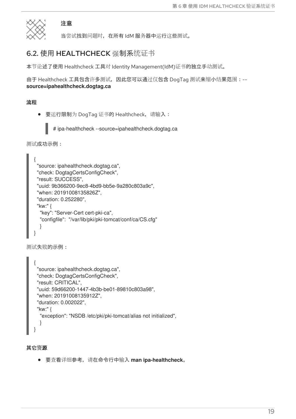

### 注意

当尝试找到问题时,在所有 IdM 服务器中运行这些测试。

# <span id="page-22-0"></span>6.2. 使用 HEALTHCHECK 强制系统证书

本节论述了使用 Healthcheck 工具对 Identity Management(IdM)证书的独立手动测试。

由于 Healthcheck 工具包含许多测试,因此您可以通过仅包含 DogTag 测试来缩小结果范围:-**source=ipahealthcheck.dogtag.ca**

#### 流程

要运行限制为 DogTag 证书的 Healthcheck,请输入:  $\bullet$ 

# ipa-healthcheck --source=ipahealthcheck.dogtag.ca

```
测试成功示例:
```

```
{
"source: ipahealthcheck.dogtag.ca",
"check: DogtagCertsConfigCheck",
"result: SUCCESS",
"uuid: 9b366200-9ec8-4bd9-bb5e-9a280c803a9c",
"when: 20191008135826Z",
"duration: 0.252280",
"kw:" {
  "key": "Server-Cert cert-pki-ca",
  "configfile": "/var/lib/pki/pki-tomcat/conf/ca/CS.cfg"
  }
}
```
测试失败的示例:

```
{
 "source: ipahealthcheck.dogtag.ca",
 "check: DogtagCertsConfigCheck",
 "result: CRITICAL",
 "uuid: 59d66200-1447-4b3b-be01-89810c803a98",
 "when: 20191008135912Z",
 "duration: 0.002022",
 "kw:" {
  "exception": "NSDB /etc/pki/pki-tomcat/alias not initialized",
  }
}
```
#### 其它资源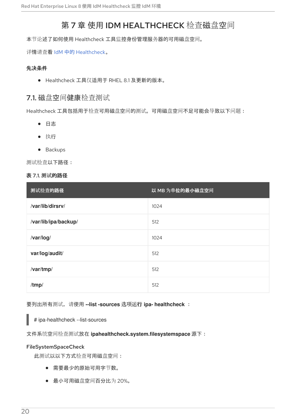# 第 7 章 使用 IDM HEALTHCHECK 检查磁盘空间

<span id="page-23-0"></span>本节论述了如何使用 Healthcheck 工具监控身份管理服务器的可用磁盘空间。

详情请查看 IdM 中的 [Healthcheck](https://access.redhat.com/documentation/en-us/red_hat_enterprise_linux/8/html-single/configuring_and_managing_identity_management#healthcheck-in-idm_collecting-idm-healthcheck-information)。

#### 先决条件

● Healthcheck 工具仅适用于 RHEL 8.1 及更新的版本。

### <span id="page-23-1"></span>7.1. 磁盘空间健康检查测试

Healthcheck 工具包括用于检查可用磁盘空间的测试。可用磁盘空间不足可能会导致以下问题:

- 日志
- 执行
- Backups

测试检查以下路径:

#### 表 7.1. 测试的路径

| 测试检查的路径              | 以 MB 为单位的最小磁盘空间 |
|----------------------|-----------------|
| /var/lib/dirsrv/     | 1024            |
| /var/lib/ipa/backup/ | 512             |
| /var/log/            | 1024            |
| var/log/audit/       | 512             |
| /var/tmp/            | 512             |
| /tmp/                | 512             |

要列出所有测试,请使用 **--list -sources** 选项运行 **ipa- healthcheck** :

# ipa-healthcheck --list-sources

文件系统空间检查测试放在 **ipahealthcheck.system.filesystemspace** 源下:

#### FileSystemSpaceCheck

此测试以以下方式检查可用磁盘空间:

- 需要最少的原始可用字节数。
- 最小可用磁盘空间百分比为 20%。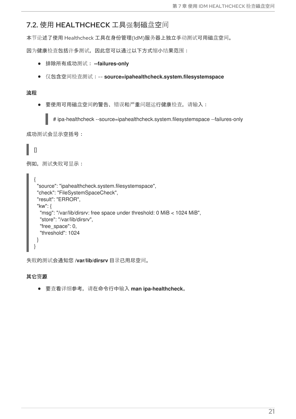## <span id="page-24-0"></span>7.2. 使用 HEALTHCHECK 工具强制磁盘空间

本节论述了使用 Healthcheck 工具在身份管理(IdM)服务器上独立手动测试可用磁盘空间。

因为健康检查包括许多测试,因此您可以通过以下方式缩小结果范围:

- 排除所有成功测试: **--failures-only**
- 仅包含空间检查测试:-- **source=ipahealthcheck.system.filesystemspace**

#### 流程

要使用可用磁盘空间的警告、错误和严重问题运行健康检查,请输入:  $\bullet$ 

# ipa-healthcheck --source=ipahealthcheck.system.filesystemspace --failures-only

成功测试会显示空括号:

# $[$

```
例如, 测试失败可显示:
```

```
{
 "source": "ipahealthcheck.system.filesystemspace",
 "check": "FileSystemSpaceCheck",
 "result": "ERROR",
 "kw": {
  "msg": "/var/lib/dirsrv: free space under threshold: 0 MiB < 1024 MiB",
  "store": "/var/lib/dirsrv",
  "free_space": 0,
  "threshold": 1024
 }
}
```
失败的测试会通知您 **/var/lib/dirsrv** 目录已用尽空间。

#### 其它资源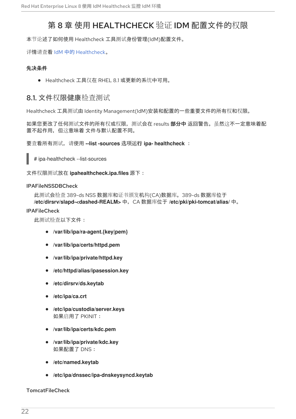# 第 8 章 使用 HEALTHCHECK 验证 IDM 配置文件的权限

<span id="page-25-0"></span>本节论述了如何使用 Healthcheck 工具测试身份管理(IdM)配置文件。

详情请查看 IdM 中的 [Healthcheck](https://access.redhat.com/documentation/en-us/red_hat_enterprise_linux/8/html-single/configuring_and_managing_identity_management#healthcheck-in-idm_collecting-idm-healthcheck-information)。

#### 先决条件

● Healthcheck 工具仅在 RHEL 8.1 或更新的系统中可用。

#### <span id="page-25-1"></span>8.1. 文件权限健康检查测试

Healthcheck 工具测试由 Identity Management(IdM)安装和配置的一些重要文件的所有权和权限。

如果您更改了任何测试文件的所有权或权限,测试会在 results 部分中 返回警告。虽然这不一定意味着配 置不起作用,但这意味着 文件与默认配置不同。

要查看所有测试,请使用 **--list -sources** 选项运行 **ipa- healthcheck** :

# ipa-healthcheck --list-sources

文件权限测试放在 **ipahealthcheck.ipa.files** 源下:

#### IPAFileNSSDBCheck

此测试会检查 389-ds NSS 数据库和证书颁发机构(CA)数据库。389-ds 数据库位于 **/etc/dirsrv/slapd-<dashed-REALM>** 中,CA 数据库位于 **/etc/pki/pki-tomcat/alias/** 中。

#### IPAFileCheck

此测试检查以下文件:

- **/var/lib/ipa/ra-agent.{key|pem}**
- **/var/lib/ipa/certs/httpd.pem**
- **/var/lib/ipa/private/httpd.key**
- **/etc/httpd/alias/ipasession.key**
- **/etc/dirsrv/ds.keytab**
- **/etc/ipa/ca.crt**
- **/etc/ipa/custodia/server.keys** 如果启用了 PKINIT:
- **/var/lib/ipa/certs/kdc.pem**
- **/var/lib/ipa/private/kdc.key** 如果配置了 DNS:
- **/etc/named.keytab**
- **/etc/ipa/dnssec/ipa-dnskeysyncd.keytab**

#### **TomcatFileCheck**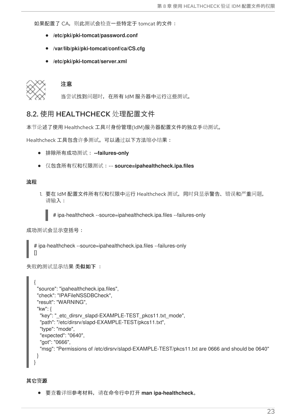如果配置了 CA, 则此测试会检查一些特定于 tomcat 的文件:

- **/etc/pki/pki-tomcat/password.conf**
- **/var/lib/pki/pki-tomcat/conf/ca/CS.cfg**
- **/etc/pki/pki-tomcat/server.xml**



#### 注意

当尝试找到问题时,在所有 IdM 服务器中运行这些测试。

### <span id="page-26-0"></span>8.2. 使用 HEALTHCHECK 处理配置文件

本节论述了使用 Healthcheck 工具对身份管理(IdM)服务器配置文件的独立手动测试。

Healthcheck 工具包含许多测试。可以通过以下方法缩小结果:

- 排除所有成功测试: **--failures-only**
- 仅包含所有权和权限测试:-- **source=ipahealthcheck.ipa.files**

#### 流程

1. 要在 IdM 配置文件所有权和权限中运行 Healthcheck 测试,同时只显示警告、错误和严重问题, 请输入:

# ipa-healthcheck --source=ipahealthcheck.ipa.files --failures-only

成功测试会显示空括号:

```
# ipa-healthcheck --source=ipahealthcheck.ipa.files --failures-only
\Box
```
失败的测试显示结果 类似如下 :

```
{
 "source": "ipahealthcheck.ipa.files",
 "check": "IPAFileNSSDBCheck",
 "result": "WARNING",
 "kw": {
  "key": "_etc_dirsrv_slapd-EXAMPLE-TEST_pkcs11.txt_mode",
  "path": "/etc/dirsrv/slapd-EXAMPLE-TEST/pkcs11.txt",
  "type": "mode",
  "expected": "0640",
  "got": "0666",
  "msg": "Permissions of /etc/dirsrv/slapd-EXAMPLE-TEST/pkcs11.txt are 0666 and should be 0640"
 }
}
```
#### 其它资源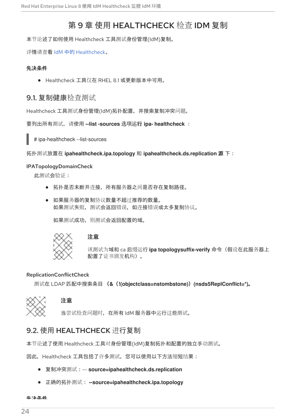# 第 9 章 使用 HEALTHCHECK 检查 IDM 复制

<span id="page-27-0"></span>本节论述了如何使用 Healthcheck 工具测试身份管理(IdM)复制。

详情请查看 IdM 中的 [Healthcheck](https://access.redhat.com/documentation/en-us/red_hat_enterprise_linux/8/html-single/configuring_and_managing_identity_management#healthcheck-in-idm_collecting-idm-healthcheck-information)。

#### 先决条件

● Healthcheck 工具仅在 RHEL 8.1 或更新版本中可用。

### <span id="page-27-1"></span>9.1. 复制健康检查测试

Healthcheck 工具测试身份管理(IdM)拓扑配置,并搜索复制冲突问题。

要列出所有测试,请使用 **--list -sources** 选项运行 **ipa- healthcheck** :



拓扑测试放置在 **ipahealthcheck.ipa.topology** 和 **ipahealthcheck.ds.replication** 源 下:

#### IPATopologyDomainCheck

此测试会验证:

- 拓扑是否未断开连接,所有服务器之间是否存在复制路径。
- 如果服务器的复制协议数量不超过推荐的数量。 如果测试失败,测试会返回错误,如连接错误或太多复制协议。

如果测试成功,则测试会返回配置的域。



#### 注意

该测试为域和 ca 后缀运行 **ipa topologysuffix-verify** 命令(假设在此服务器上 配置了证书颁发机构)。

#### ReplicationConflictCheck

测试在 LDAP 匹配中搜索条目 (**&**(**!(objectclass=nstombstone)**)**(nsds5ReplConflict=\*)**。



#### 注意

当尝试检查问题时,在所有 IdM 服务器中运行这些测试。

# <span id="page-27-2"></span>9.2. 使用 HEALTHCHECK 进行复制

本节论述了使用 Healthcheck 工具对身份管理(IdM)复制拓扑和配置的独立手动测试。

因此, Healthcheck 工具包括了许多测试, 您可以使用以下方法缩短结果:

- 复制冲突测试:-- **source=ipahealthcheck.ds.replication**
- 正确的拓扑测试: **--source=ipahealthcheck.ipa.topology**

先决条件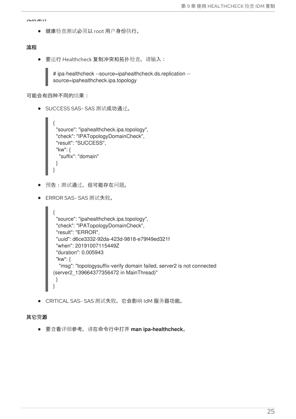ルス不正

健康检查测试必须以 root 用户身份执行。  $\bullet$ 

#### 流程

要运行 Healthcheck 复制冲突和拓扑检查, 请输入:  $\bullet$ 

> # ipa-healthcheck --source=ipahealthcheck.ds.replication - source=ipahealthcheck.ipa.topology

可能会有四种不同的结果:

```
● SUCCESS SAS- SAS 测试成功通过。
```

```
{
 "source": "ipahealthcheck.ipa.topology",
 "check": "IPATopologyDomainCheck",
 "result": "SUCCESS",
 "kw": {
  "suffix": "domain"
 }
}
```
- 预告:测试通过,但可能存在问题。
- ERROR SAS- SAS 测试失败。

```
{
 "source": "ipahealthcheck.ipa.topology",
 "check": "IPATopologyDomainCheck",
 "result": "ERROR",
 "uuid": d6ce3332-92da-423d-9818-e79f49ed321f
 "when": 20191007115449Z
 "duration": 0.005943
 "kw": {
  "msg": "topologysuffix-verify domain failed, server2 is not connected
(server2_139664377356472 in MainThread)"
 }
}
```
● CRITICAL SAS- SAS 测试失败, 它会影响 IdM 服务器功能。

#### 其它资源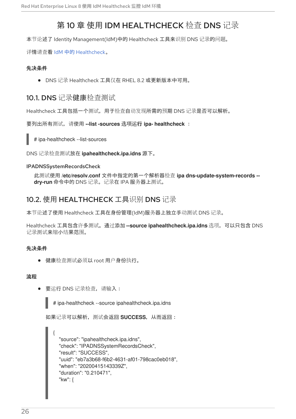# 第 10 章 使用 IDM HEALTHCHECK 检查 DNS 记录

<span id="page-29-0"></span>本节论述了 Identity Management(IdM)中的 Healthcheck 工具来识别 DNS 记录的问题。

详情请查看 IdM 中的 [Healthcheck](#page-11-1)。

#### 先决条件

● DNS 记录 Healthcheck 工具仅在 RHEL 8.2 或更新版本中可用。

### <span id="page-29-1"></span>10.1. DNS 记录健康检查测试

Healthcheck 工具包括一个测试,用于检查自动发现所需的预期 DNS 记录是否可以解析。

要列出所有测试,请使用 **--list -sources** 选项运行 **ipa- healthcheck** :

# ipa-healthcheck --list-sources

DNS 记录检查测试放在 **ipahealthcheck.ipa.idns** 源下。

#### IPADNSSystemRecordsCheck

此测试使用 **/etc/resolv.conf** 文件中指定的第一个解析器检查 **ipa dns-update-system-records - dry-run** 命令中的 DNS 记录。记录在 IPA 服务器上测试。

### <span id="page-29-2"></span>10.2. 使用 HEALTHCHECK 工具识别 DNS 记录

本节论述了使用 Healthcheck 工具在身份管理(IdM)服务器上独立手动测试 DNS 记录。

Healthcheck 工具包含许多测试。通过添加 **--source ipahealthcheck.ipa.idns** 选项,可以只包含 DNS 记录测试来缩小结果范围。

#### 先决条件

健康检查测试必须以 root 用户身份执行。

#### 流程

要运行 DNS 记录检查, 请输入:  $\bullet$ 

# ipa-healthcheck --source ipahealthcheck.ipa.idns

如果记录可以解析,测试会返回 **SUCCESS**,从而返回:

```
{
  "source": "ipahealthcheck.ipa.idns",
  "check": "IPADNSSystemRecordsCheck",
  "result": "SUCCESS",
  "uuid": "eb7a3b68-f6b2-4631-af01-798cac0eb018",
  "when": "20200415143339Z",
  "duration": "0.210471",
  "kw": {
```